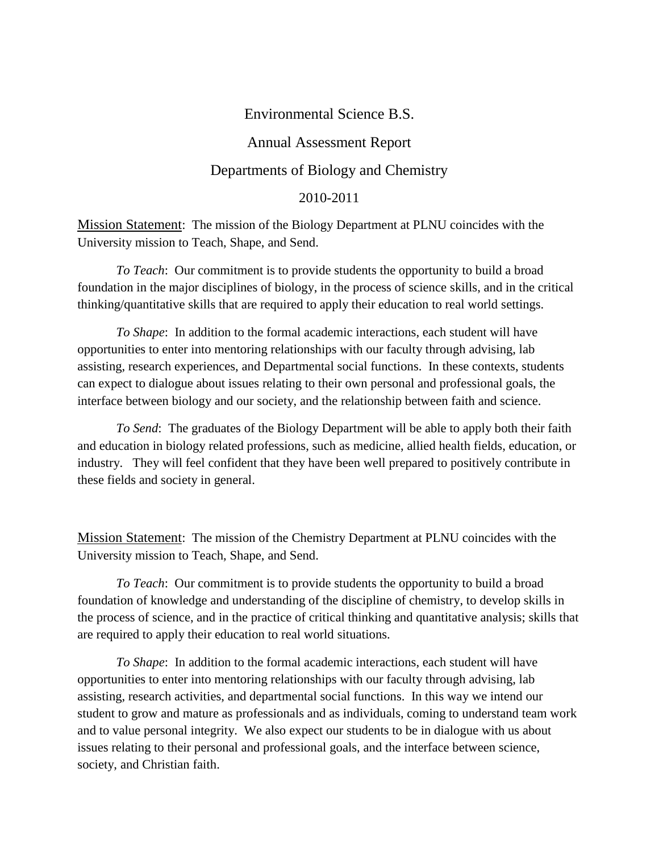# Environmental Science B.S. Annual Assessment Report Departments of Biology and Chemistry 2010-2011

Mission Statement: The mission of the Biology Department at PLNU coincides with the University mission to Teach, Shape, and Send.

*To Teach*: Our commitment is to provide students the opportunity to build a broad foundation in the major disciplines of biology, in the process of science skills, and in the critical thinking/quantitative skills that are required to apply their education to real world settings.

*To Shape*: In addition to the formal academic interactions, each student will have opportunities to enter into mentoring relationships with our faculty through advising, lab assisting, research experiences, and Departmental social functions. In these contexts, students can expect to dialogue about issues relating to their own personal and professional goals, the interface between biology and our society, and the relationship between faith and science.

*To Send*: The graduates of the Biology Department will be able to apply both their faith and education in biology related professions, such as medicine, allied health fields, education, or industry. They will feel confident that they have been well prepared to positively contribute in these fields and society in general.

Mission Statement: The mission of the Chemistry Department at PLNU coincides with the University mission to Teach, Shape, and Send.

*To Teach*: Our commitment is to provide students the opportunity to build a broad foundation of knowledge and understanding of the discipline of chemistry, to develop skills in the process of science, and in the practice of critical thinking and quantitative analysis; skills that are required to apply their education to real world situations.

*To Shape*: In addition to the formal academic interactions, each student will have opportunities to enter into mentoring relationships with our faculty through advising, lab assisting, research activities, and departmental social functions. In this way we intend our student to grow and mature as professionals and as individuals, coming to understand team work and to value personal integrity. We also expect our students to be in dialogue with us about issues relating to their personal and professional goals, and the interface between science, society, and Christian faith.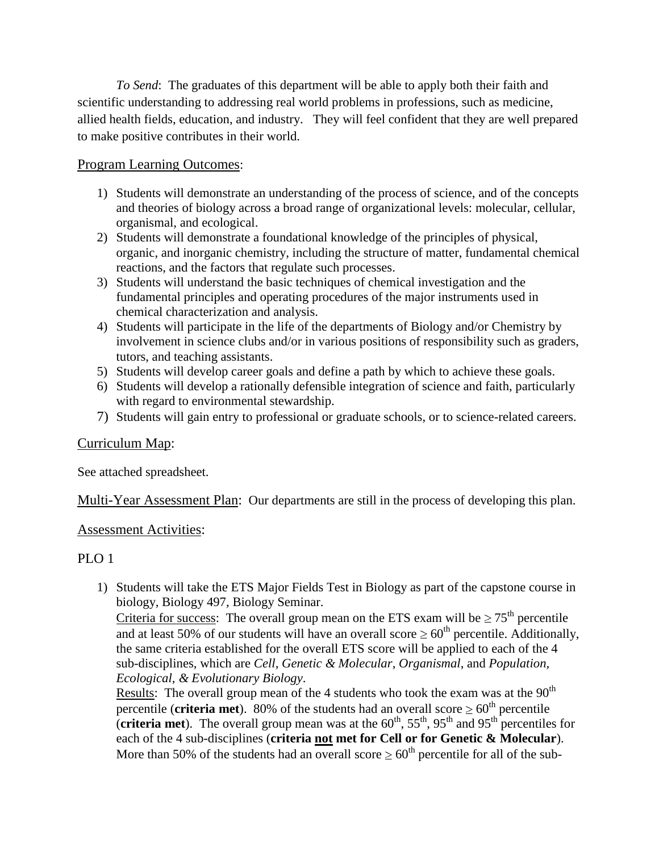*To Send*: The graduates of this department will be able to apply both their faith and scientific understanding to addressing real world problems in professions, such as medicine, allied health fields, education, and industry. They will feel confident that they are well prepared to make positive contributes in their world.

## Program Learning Outcomes:

- 1) Students will demonstrate an understanding of the process of science, and of the concepts and theories of biology across a broad range of organizational levels: molecular, cellular, organismal, and ecological.
- 2) Students will demonstrate a foundational knowledge of the principles of physical, organic, and inorganic chemistry, including the structure of matter, fundamental chemical reactions, and the factors that regulate such processes.
- 3) Students will understand the basic techniques of chemical investigation and the fundamental principles and operating procedures of the major instruments used in chemical characterization and analysis.
- 4) Students will participate in the life of the departments of Biology and/or Chemistry by involvement in science clubs and/or in various positions of responsibility such as graders, tutors, and teaching assistants.
- 5) Students will develop career goals and define a path by which to achieve these goals.
- 6) Students will develop a rationally defensible integration of science and faith, particularly with regard to environmental stewardship.
- 7) Students will gain entry to professional or graduate schools, or to science-related careers.

## Curriculum Map:

See attached spreadsheet.

Multi-Year Assessment Plan: Our departments are still in the process of developing this plan.

## Assessment Activities:

## PLO<sub>1</sub>

1) Students will take the ETS Major Fields Test in Biology as part of the capstone course in biology, Biology 497, Biology Seminar.

Criteria for success: The overall group mean on the ETS exam will be  $\geq 75^{\text{th}}$  percentile and at least 50% of our students will have an overall score  $\geq 60^{th}$  percentile. Additionally, the same criteria established for the overall ETS score will be applied to each of the 4 sub-disciplines, which are *Cell*, *Genetic & Molecular*, *Organismal*, and *Population, Ecological, & Evolutionary Biology*.

Results: The overall group mean of the 4 students who took the exam was at the  $90<sup>th</sup>$ percentile (**criteria met**). 80% of the students had an overall score  $\geq 60^{\text{th}}$  percentile (**criteria met**). The overall group mean was at the  $60<sup>th</sup>$ ,  $55<sup>th</sup>$ ,  $95<sup>th</sup>$  and  $95<sup>th</sup>$  percentiles for each of the 4 sub-disciplines (**criteria not met for Cell or for Genetic & Molecular**). More than 50% of the students had an overall score  $\geq 60^{th}$  percentile for all of the sub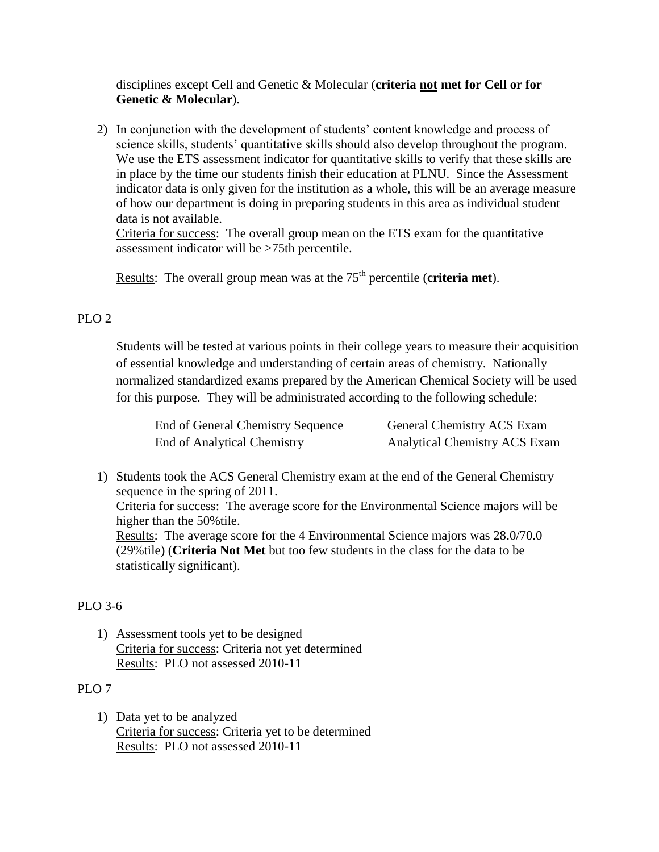disciplines except Cell and Genetic & Molecular (**criteria not met for Cell or for Genetic & Molecular**).

2) In conjunction with the development of students' content knowledge and process of science skills, students' quantitative skills should also develop throughout the program. We use the ETS assessment indicator for quantitative skills to verify that these skills are in place by the time our students finish their education at PLNU. Since the Assessment indicator data is only given for the institution as a whole, this will be an average measure of how our department is doing in preparing students in this area as individual student data is not available.

Criteria for success: The overall group mean on the ETS exam for the quantitative assessment indicator will be  $\geq$ 75th percentile.

Results: The overall group mean was at the 75<sup>th</sup> percentile (**criteria met**).

## PLO<sub>2</sub>

Students will be tested at various points in their college years to measure their acquisition of essential knowledge and understanding of certain areas of chemistry. Nationally normalized standardized exams prepared by the American Chemical Society will be used for this purpose. They will be administrated according to the following schedule:

| End of General Chemistry Sequence | General Chemistry ACS Exam           |
|-----------------------------------|--------------------------------------|
| End of Analytical Chemistry       | <b>Analytical Chemistry ACS Exam</b> |

1) Students took the ACS General Chemistry exam at the end of the General Chemistry sequence in the spring of 2011. Criteria for success: The average score for the Environmental Science majors will be higher than the 50%tile. Results: The average score for the 4 Environmental Science majors was 28.0/70.0 (29%tile) (**Criteria Not Met** but too few students in the class for the data to be statistically significant).

## PLO 3-6

1) Assessment tools yet to be designed Criteria for success: Criteria not yet determined Results: PLO not assessed 2010-11

#### PLO<sub>7</sub>

1) Data yet to be analyzed Criteria for success: Criteria yet to be determined Results: PLO not assessed 2010-11